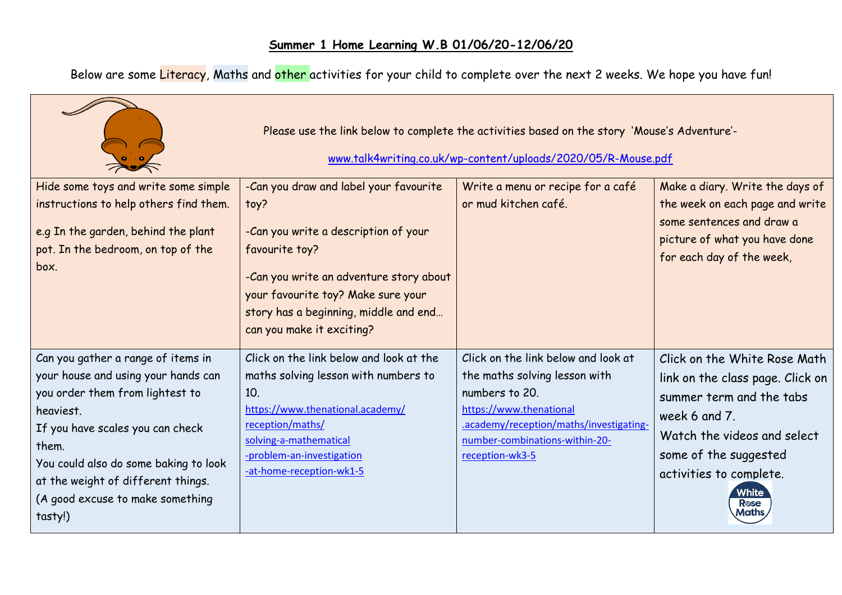Below are some <mark>Literacy</mark>, Maths and <mark>other </mark>activities for your child to complete over the next 2 weeks. We hope you have fun!

| Please use the link below to complete the activities based on the story 'Mouse's Adventure'-<br>www.talk4writing.co.uk/wp-content/uploads/2020/05/R-Mouse.pdf |                                                                                                                                                                                                                       |                                                   |                                                                                                                            |  |  |  |  |
|---------------------------------------------------------------------------------------------------------------------------------------------------------------|-----------------------------------------------------------------------------------------------------------------------------------------------------------------------------------------------------------------------|---------------------------------------------------|----------------------------------------------------------------------------------------------------------------------------|--|--|--|--|
| Hide some toys and write some simple                                                                                                                          | -Can you draw and label your favourite                                                                                                                                                                                | Write a menu or recipe for a café                 | Make a diary. Write the days of                                                                                            |  |  |  |  |
| instructions to help others find them.<br>e.g In the garden, behind the plant<br>pot. In the bedroom, on top of the<br>box.                                   | toy?<br>-Can you write a description of your<br>favourite toy?<br>-Can you write an adventure story about<br>your favourite toy? Make sure your<br>story has a beginning, middle and end<br>can you make it exciting? | or mud kitchen café.                              | the week on each page and write<br>some sentences and draw a<br>picture of what you have done<br>for each day of the week, |  |  |  |  |
| Can you gather a range of items in                                                                                                                            | Click on the link below and look at the                                                                                                                                                                               | Click on the link below and look at               | Click on the White Rose Math                                                                                               |  |  |  |  |
| your house and using your hands can                                                                                                                           | maths solving lesson with numbers to                                                                                                                                                                                  | the maths solving lesson with                     | link on the class page. Click on                                                                                           |  |  |  |  |
| you order them from lightest to                                                                                                                               | 10.                                                                                                                                                                                                                   | numbers to 20.                                    | summer term and the tabs                                                                                                   |  |  |  |  |
| heaviest.                                                                                                                                                     | https://www.thenational.academy/                                                                                                                                                                                      | https://www.thenational                           | week 6 and 7.                                                                                                              |  |  |  |  |
| If you have scales you can check                                                                                                                              | reception/maths/                                                                                                                                                                                                      | .academy/reception/maths/investigating-           | Watch the videos and select                                                                                                |  |  |  |  |
| them.                                                                                                                                                         | solving-a-mathematical<br>-problem-an-investigation                                                                                                                                                                   | number-combinations-within-20-<br>reception-wk3-5 | some of the suggested                                                                                                      |  |  |  |  |
| You could also do some baking to look                                                                                                                         | -at-home-reception-wk1-5                                                                                                                                                                                              |                                                   | activities to complete.                                                                                                    |  |  |  |  |
| at the weight of different things.                                                                                                                            |                                                                                                                                                                                                                       |                                                   | White                                                                                                                      |  |  |  |  |
| (A good excuse to make something<br>tasty!)                                                                                                                   |                                                                                                                                                                                                                       |                                                   | <b>R</b> ose<br>Maths                                                                                                      |  |  |  |  |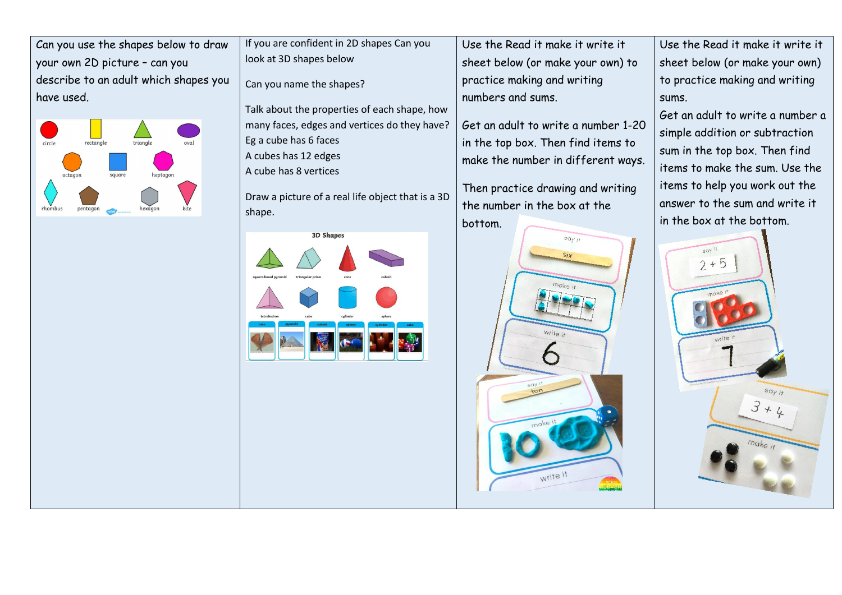Can you use the shapes below to draw your own 2D picture – can you describe to an adult which shapes you have used.



If you are confident in 2D shapes Can you look at 3D shapes below

Can you name the shapes?

Talk about the properties of each shape, how many faces, edges and vertices do they have? Eg a cube has 6 faces A cubes has 12 edges A cube has 8 vertices

Draw a picture of a real life object that is a 3D shape.



Use the Read it make it write it sheet below (or make your own) to practice making and writing numbers and sums.

Get an adult to write a number 1-20 in the top box. Then find items to make the number in different ways.

Then practice drawing and writing the number in the box at the bottom.



Use the Read it make it write it sheet below (or make your own) to practice making and writing sums.

Get an adult to write a number a simple addition or subtraction sum in the top box. Then find items to make the sum. Use the items to help you work out the answer to the sum and write it in the box at the bottom.

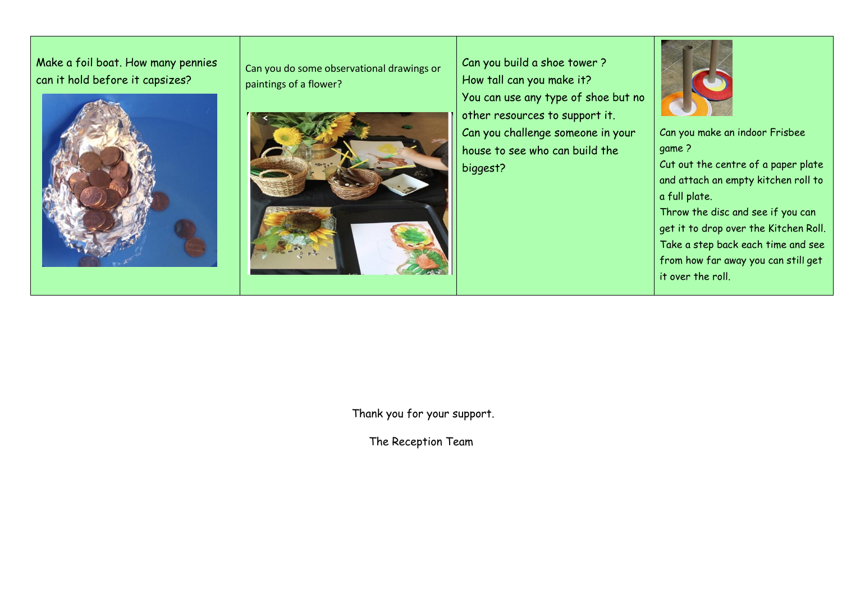Make a foil boat. How many pennies can it hold before it capsizes?



Can you do some observational drawings or paintings of a flower?



Can you build a shoe tower ? How tall can you make it? You can use any type of shoe but no other resources to support it. Can you challenge someone in your house to see who can build the biggest?



Can you make an indoor Frisbee game ?

Cut out the centre of a paper plate and attach an empty kitchen roll to a full plate.

Throw the disc and see if you can get it to drop over the Kitchen Roll. Take a step back each time and see from how far away you can still get it over the roll.

Thank you for your support.

The Reception Team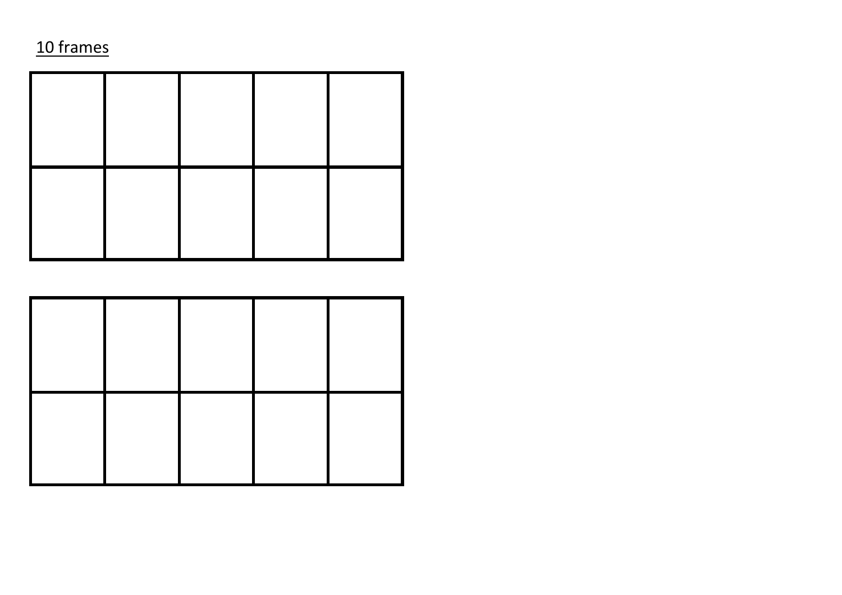## 10 frames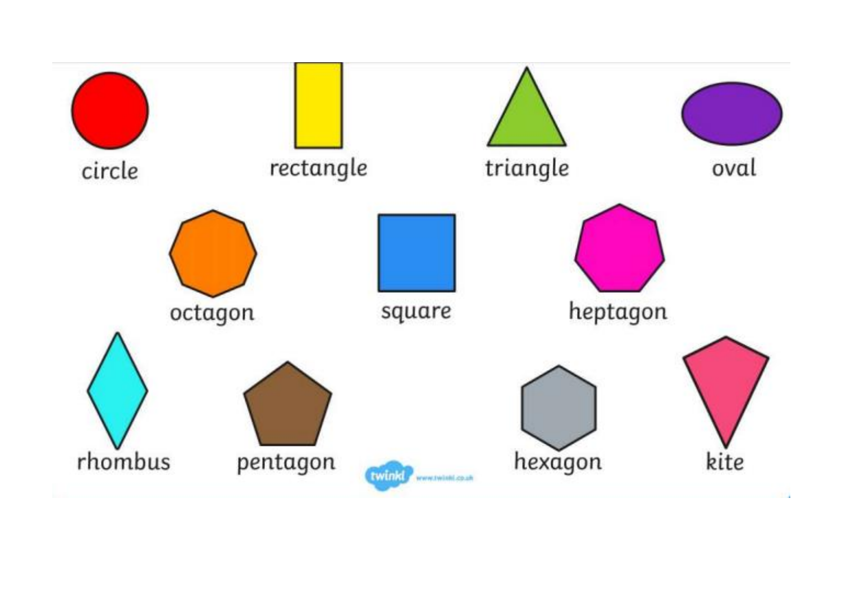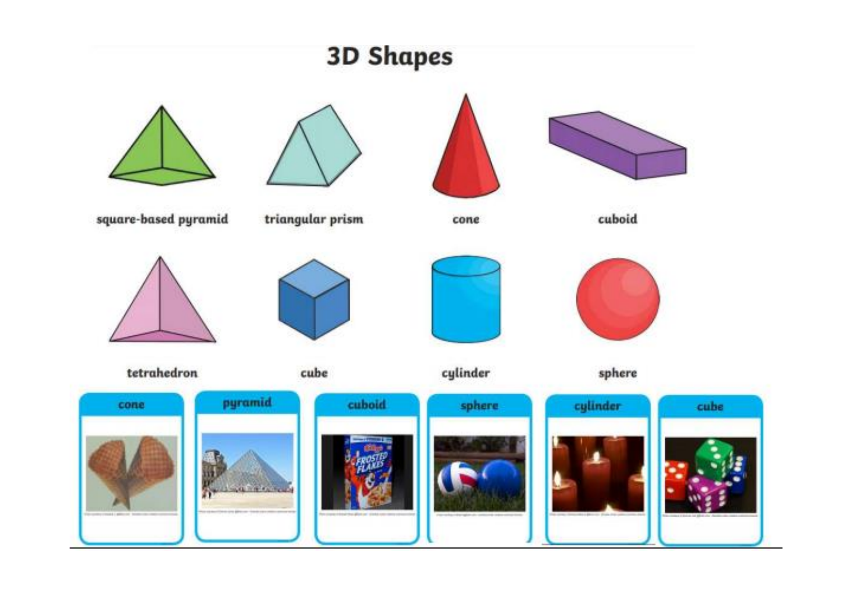